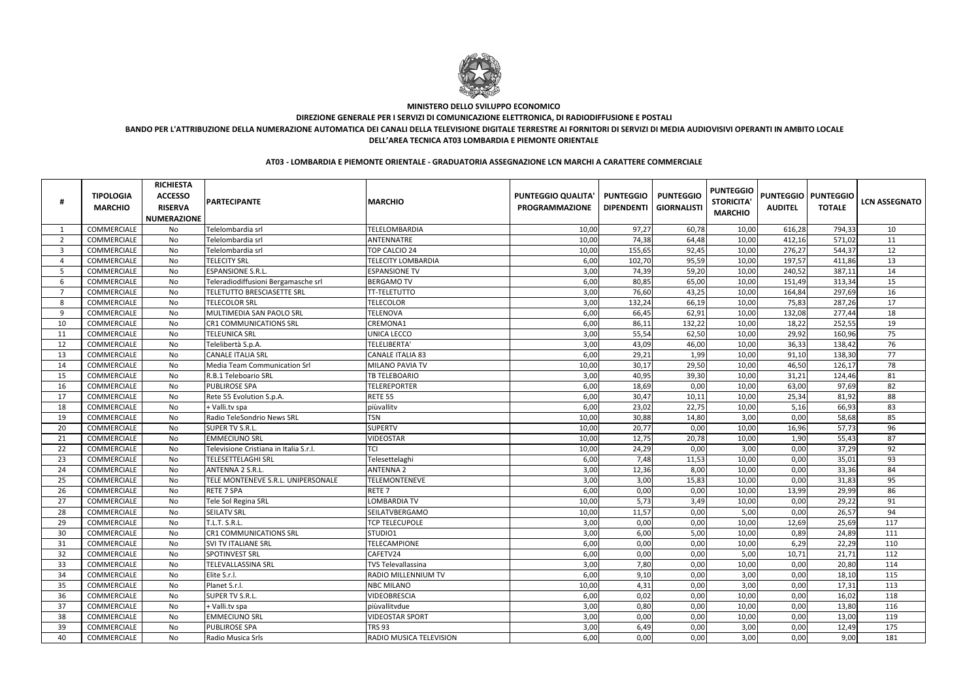|                | <b>TIPOLOGIA</b><br><b>MARCHIO</b> | <b>RICHIESTA</b><br><b>ACCESSO</b><br><b>RISERVA</b><br><b>NUMERAZIONE</b> | <b>PARTECIPANTE</b>                    | <b>MARCHIO</b>                 | <b>PUNTEGGIO QUALITA'</b><br><b>PROGRAMMAZIONE</b> | <b>PUNTEGGIO</b><br><b>DIPENDENTI</b> | <b>PUNTEGGIO</b><br><b>GIORNALISTI</b> | <b>PUNTEGGIO</b><br><b>STORICITA'</b><br><b>MARCHIO</b> | <b>AUDITEL</b> | <b>PUNTEGGIO   PUNTEGGIO</b><br><b>TOTALE</b> | <b>LCN ASSEGNATO</b> |
|----------------|------------------------------------|----------------------------------------------------------------------------|----------------------------------------|--------------------------------|----------------------------------------------------|---------------------------------------|----------------------------------------|---------------------------------------------------------|----------------|-----------------------------------------------|----------------------|
|                | COMMERCIALE                        | No                                                                         | Telelombardia srl                      | TELELOMBARDIA                  | 10,00                                              | 97,27                                 | 60,78                                  | 10,00                                                   | 616,28         | 794,33                                        | 10                   |
| $\overline{2}$ | <b>COMMERCIALE</b>                 | No                                                                         | Telelombardia srl                      | ANTENNATRE                     | 10,00                                              | 74,38                                 | 64,48                                  | 10,00                                                   | 412,16         | 571,02                                        | 11                   |
| -3             | COMMERCIALE                        | No                                                                         | Telelombardia srl                      | TOP CALCIO 24                  | 10,00                                              | 155,65                                | 92,45                                  | 10,00                                                   | 276,27         | 544,37                                        | 12                   |
| $\overline{4}$ | COMMERCIALE                        | No                                                                         | <b>TELECITY SRL</b>                    | <b>TELECITY LOMBARDIA</b>      | 6,00                                               | 102,70                                | 95,59                                  | 10,00                                                   | 197,57         | 411,86                                        | 13                   |
| -5             | COMMERCIALE                        | No                                                                         | <b>ESPANSIONE S.R.L.</b>               | <b>ESPANSIONE TV</b>           | 3,00                                               | 74,39                                 | 59,20                                  | 10,00                                                   | 240,52         | 387,11                                        | 14                   |
| 6              | COMMERCIALE                        | No                                                                         | Teleradiodiffusioni Bergamasche srl    | <b>BERGAMO TV</b>              | 6,00                                               | 80,85                                 | 65,00                                  | 10,00                                                   | 151,49         | 313,34                                        | 15                   |
|                | COMMERCIALE                        | No                                                                         | <b>TELETUTTO BRESCIASETTE SRL</b>      | <b>TT-TELETUTTO</b>            | 3,00                                               | 76,60                                 | 43,25                                  | 10,00                                                   | 164,84         | 297,69                                        | 16                   |
| 8              | COMMERCIALE                        | No                                                                         | <b>TELECOLOR SRL</b>                   | <b>TELECOLOR</b>               | 3,00                                               | 132,24                                | 66,19                                  | 10,00                                                   | 75,83          | 287,26                                        | 17                   |
| 9              | COMMERCIALE                        | No                                                                         | MULTIMEDIA SAN PAOLO SRL               | <b>TELENOVA</b>                | 6,00                                               | 66,45                                 | 62,91                                  | 10,00                                                   | 132,08         | 277,44                                        | 18                   |
| 10             | COMMERCIALE                        | No                                                                         | <b>CR1 COMMUNICATIONS SRL</b>          | CREMONA1                       | 6,00                                               | 86,11                                 | 132,22                                 | 10,00                                                   | 18,22          | 252,55                                        | 19                   |
| 11             | COMMERCIALE                        | No                                                                         | <b>TELEUNICA SRL</b>                   | UNICA LECCO                    | 3,00                                               | 55,54                                 | 62,50                                  | 10,00                                                   | 29,92          | 160,96                                        | 75                   |
| 12             | COMMERCIALE                        | No                                                                         | Telelibertà S.p.A.                     | TELELIBERTA'                   | 3,00                                               | 43,09                                 | 46,00                                  | 10,00                                                   | 36,33          | 138,42                                        | 76                   |
| 13             | COMMERCIALE                        | No                                                                         | <b>CANALE ITALIA SRL</b>               | <b>CANALE ITALIA 83</b>        | 6,00                                               | 29,21                                 | 1,99                                   | 10,00                                                   | 91,10          | 138,30                                        | 77                   |
| 14             | COMMERCIALE                        | No                                                                         | Media Team Communication Srl           | MILANO PAVIA TV                | 10,00                                              | 30,17                                 | 29,50                                  | 10,00                                                   | 46,50          | 126,17                                        | 78                   |
| 15             | COMMERCIALE                        | No                                                                         | R.B.1 Teleboario SRL                   | <b>TB TELEBOARIO</b>           | 3,00                                               | 40,95                                 | 39,30                                  | 10,00                                                   | 31,21          | 124,46                                        | 81                   |
| 16             | COMMERCIALE                        | No                                                                         | <b>PUBLIROSE SPA</b>                   | <b>TELEREPORTER</b>            | 6,00                                               | 18,69                                 | 0,00                                   | 10,00                                                   | 63,00          | 97,69                                         | 82                   |
| 17             | COMMERCIALE                        | No                                                                         | Rete 55 Evolution S.p.A.               | <b>RETE 55</b>                 | 6,00                                               | 30,47                                 | 10,11                                  | 10,00                                                   | 25,34          | 81,92                                         | 88                   |
| 18             | COMMERCIALE                        | No                                                                         | + Valli.tv spa                         | piùvallitv                     | 6,00                                               | 23,02                                 | 22,75                                  | 10,00                                                   | 5,16           | 66,93                                         | 83                   |
| 19             | COMMERCIALE                        | No                                                                         | Radio TeleSondrio News SRL             | <b>TSN</b>                     | 10,00                                              | 30,88                                 | 14,80                                  | 3,00                                                    | 0,00           | 58,68                                         | 85                   |
| 20             | COMMERCIALE                        | No                                                                         | <b>SUPER TV S.R.L.</b>                 | <b>SUPERTV</b>                 | 10,00                                              | 20,77                                 | 0,00                                   | 10,00                                                   | 16,96          | 57,73                                         | 96                   |
| 21             | COMMERCIALE                        | No                                                                         | <b>EMMECIUNO SRL</b>                   | <b>VIDEOSTAR</b>               | 10,00                                              | 12,75                                 | 20,78                                  | 10,00                                                   | 1,90           | 55,43                                         | 87                   |
| 22             | COMMERCIALE                        | No                                                                         | Televisione Cristiana in Italia S.r.l. | TCI                            | 10,00                                              | 24,29                                 | 0,00                                   | 3,00                                                    | 0,00           | 37,29                                         | 92                   |
| 23             | COMMERCIALE                        | No                                                                         | <b>TELESETTELAGHI SRL</b>              | Telesettelaghi                 | 6,00                                               | 7,48                                  | 11,53                                  | 10,00                                                   | 0,00           | 35,01                                         | 93                   |
| 24             | COMMERCIALE                        | No                                                                         | ANTENNA 2 S.R.L.                       | <b>ANTENNA 2</b>               | 3,00                                               | 12,36                                 | 8,00                                   | 10,00                                                   | 0,00           | 33,36                                         | 84                   |
| 25             | COMMERCIALE                        | No                                                                         | TELE MONTENEVE S.R.L. UNIPERSONALE     | <b>TELEMONTENEVE</b>           | 3,00                                               | 3,00                                  | 15,83                                  | 10,00                                                   | 0,00           | 31,83                                         | 95                   |
| 26             | COMMERCIALE                        | No                                                                         | <b>RETE 7 SPA</b>                      | RETE <sub>7</sub>              | 6,00                                               | 0,00                                  | 0,00                                   | 10,00                                                   | 13,99          | 29,99                                         | 86                   |
| 27             | COMMERCIALE                        | No                                                                         | Tele Sol Regina SRL                    | <b>LOMBARDIA TV</b>            | 10,00                                              | 5,73                                  | 3,49                                   | 10,00                                                   | 0,00           | 29,22                                         | 91                   |
| 28             | COMMERCIALE                        | No                                                                         | <b>SEILATV SRL</b>                     | SEILATVBERGAMO                 | 10,00                                              | 11,57                                 | 0,00                                   | 5,00                                                    | 0,00           | 26,57                                         | 94                   |
| 29             | COMMERCIALE                        | No                                                                         | <b>T.L.T. S.R.L.</b>                   | <b>TCP TELECUPOLE</b>          | 3,00                                               | 0,00                                  | 0,00                                   | 10,00                                                   | 12,69          | 25,69                                         | 117                  |
| 30             | COMMERCIALE                        | No                                                                         | <b>CR1 COMMUNICATIONS SRL</b>          | STUDIO1                        | 3,00                                               | 6,00                                  | 5,00                                   | 10,00                                                   | 0,89           | 24,89                                         | 111                  |
| 31             | COMMERCIALE                        | No                                                                         | <b>SVI TV ITALIANE SRL</b>             | <b>TELECAMPIONE</b>            | 6,00                                               | 0,00                                  | 0,00                                   | 10,00                                                   | 6,29           | 22,29                                         | 110                  |
| 32             | COMMERCIALE                        | No                                                                         | <b>SPOTINVEST SRL</b>                  | CAFETV24                       | 6,00                                               | 0,00                                  | 0,00                                   | 5,00                                                    | 10,71          | 21,71                                         | 112                  |
| 33             | COMMERCIALE                        | No                                                                         | <b>TELEVALLASSINA SRL</b>              | <b>TVS Televallassina</b>      | 3,00                                               | 7,80                                  | 0,00                                   | 10,00                                                   | 0,00           | 20,80                                         | 114                  |
| 34             | COMMERCIALE                        | No                                                                         | Elite S.r.l.                           | <b>RADIO MILLENNIUM TV</b>     | 6,00                                               | 9,10                                  | 0,00                                   | 3,00                                                    | 0,00           | 18,10                                         | 115                  |
| 35             | COMMERCIALE                        | No                                                                         | Planet S.r.l.                          | <b>NBC MILANO</b>              | 10,00                                              | 4,31                                  | 0,00                                   | 3,00                                                    | 0,00           | 17,31                                         | 113                  |
| 36             | COMMERCIALE                        | No                                                                         | <b>SUPER TV S.R.L.</b>                 | <b>VIDEOBRESCIA</b>            | 6,00                                               | 0,02                                  | 0,00                                   | 10,00                                                   | 0,00           | 16,02                                         | 118                  |
| 37             | COMMERCIALE                        | No                                                                         | + Valli.tv spa                         | piùvallitvdue                  | 3,00                                               | 0,80                                  | 0,00                                   | 10,00                                                   | 0,00           | 13,80                                         | 116                  |
| 38             | COMMERCIALE                        | No                                                                         | <b>EMMECIUNO SRL</b>                   | <b>VIDEOSTAR SPORT</b>         | 3,00                                               | 0,00                                  | 0,00                                   | 10,00                                                   | 0,00           | 13,00                                         | 119                  |
| 39             | COMMERCIALE                        | No                                                                         | <b>PUBLIROSE SPA</b>                   | <b>TRS 93</b>                  | 3,00                                               | 6,49                                  | 0,00                                   | 3,00                                                    | 0,00           | 12,49                                         | 175                  |
| 40             | COMMERCIALE                        | No                                                                         | Radio Musica Srls                      | <b>RADIO MUSICA TELEVISION</b> | 6,00                                               | 0,00                                  | 0,00                                   | 3,00                                                    | 0,00           | 9,00                                          | 181                  |

**AT03 - LOMBARDIA E PIEMONTE ORIENTALE - GRADUATORIA ASSEGNAZIONE LCN MARCHI A CARATTERE COMMERCIALE**



## **MINISTERO DELLO SVILUPPO ECONOMICO DIREZIONE GENERALE PER I SERVIZI DI COMUNICAZIONE ELETTRONICA, DI RADIODIFFUSIONE E POSTALIBANDO PER L'ATTRIBUZIONE DELLA NUMERAZIONE AUTOMATICA DEI CANALI DELLA TELEVISIONE DIGITALE TERRESTRE AI FORNITORI DI SERVIZI DI MEDIA AUDIOVISIVI OPERANTI IN AMBITO LOCALEDELL'AREA TECNICA AT03 LOMBARDIA E PIEMONTE ORIENTALE**